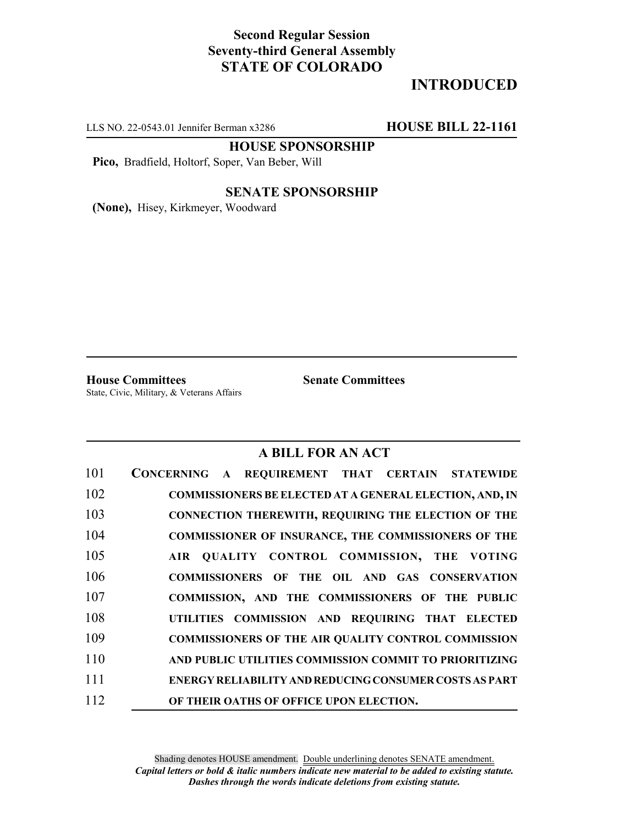## **Second Regular Session Seventy-third General Assembly STATE OF COLORADO**

# **INTRODUCED**

LLS NO. 22-0543.01 Jennifer Berman x3286 **HOUSE BILL 22-1161**

**HOUSE SPONSORSHIP**

**Pico,** Bradfield, Holtorf, Soper, Van Beber, Will

#### **SENATE SPONSORSHIP**

**(None),** Hisey, Kirkmeyer, Woodward

**House Committees Senate Committees** State, Civic, Military, & Veterans Affairs

## **A BILL FOR AN ACT**

| 101 | CONCERNING A REQUIREMENT THAT CERTAIN STATEWIDE               |
|-----|---------------------------------------------------------------|
| 102 | COMMISSIONERS BE ELECTED AT A GENERAL ELECTION, AND, IN       |
| 103 | <b>CONNECTION THEREWITH, REQUIRING THE ELECTION OF THE</b>    |
| 104 | <b>COMMISSIONER OF INSURANCE, THE COMMISSIONERS OF THE</b>    |
| 105 | AIR QUALITY CONTROL COMMISSION, THE VOTING                    |
| 106 | COMMISSIONERS OF THE OIL AND GAS CONSERVATION                 |
| 107 | COMMISSION, AND THE COMMISSIONERS OF THE PUBLIC               |
| 108 | UTILITIES COMMISSION AND REQUIRING THAT ELECTED               |
| 109 | <b>COMMISSIONERS OF THE AIR QUALITY CONTROL COMMISSION</b>    |
| 110 | AND PUBLIC UTILITIES COMMISSION COMMIT TO PRIORITIZING        |
| 111 | <b>ENERGY RELIABILITY AND REDUCING CONSUMER COSTS AS PART</b> |
| 112 | OF THEIR OATHS OF OFFICE UPON ELECTION.                       |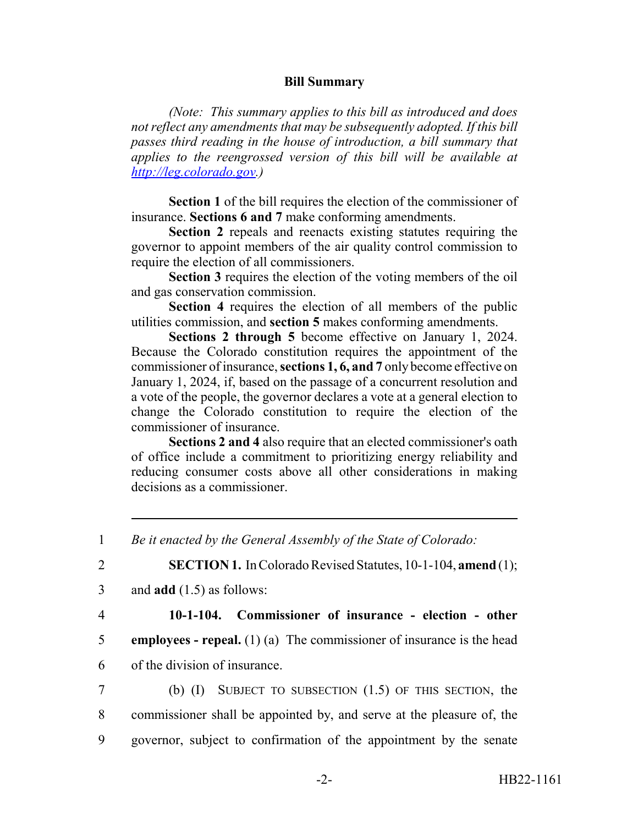### **Bill Summary**

*(Note: This summary applies to this bill as introduced and does not reflect any amendments that may be subsequently adopted. If this bill passes third reading in the house of introduction, a bill summary that applies to the reengrossed version of this bill will be available at http://leg.colorado.gov.)*

**Section 1** of the bill requires the election of the commissioner of insurance. **Sections 6 and 7** make conforming amendments.

**Section 2** repeals and reenacts existing statutes requiring the governor to appoint members of the air quality control commission to require the election of all commissioners.

**Section 3** requires the election of the voting members of the oil and gas conservation commission.

**Section 4** requires the election of all members of the public utilities commission, and **section 5** makes conforming amendments.

**Sections 2 through 5** become effective on January 1, 2024. Because the Colorado constitution requires the appointment of the commissioner of insurance, **sections 1, 6, and 7** only become effective on January 1, 2024, if, based on the passage of a concurrent resolution and a vote of the people, the governor declares a vote at a general election to change the Colorado constitution to require the election of the commissioner of insurance.

**Sections 2 and 4** also require that an elected commissioner's oath of office include a commitment to prioritizing energy reliability and reducing consumer costs above all other considerations in making decisions as a commissioner.

2 **SECTION 1.** In Colorado Revised Statutes, 10-1-104, **amend** (1);

3 and **add** (1.5) as follows:

## 4 **10-1-104. Commissioner of insurance - election - other**

5 **employees - repeal.** (1) (a) The commissioner of insurance is the head

6 of the division of insurance.

7 (b) (I) SUBJECT TO SUBSECTION (1.5) OF THIS SECTION, the 8 commissioner shall be appointed by, and serve at the pleasure of, the 9 governor, subject to confirmation of the appointment by the senate

<sup>1</sup> *Be it enacted by the General Assembly of the State of Colorado:*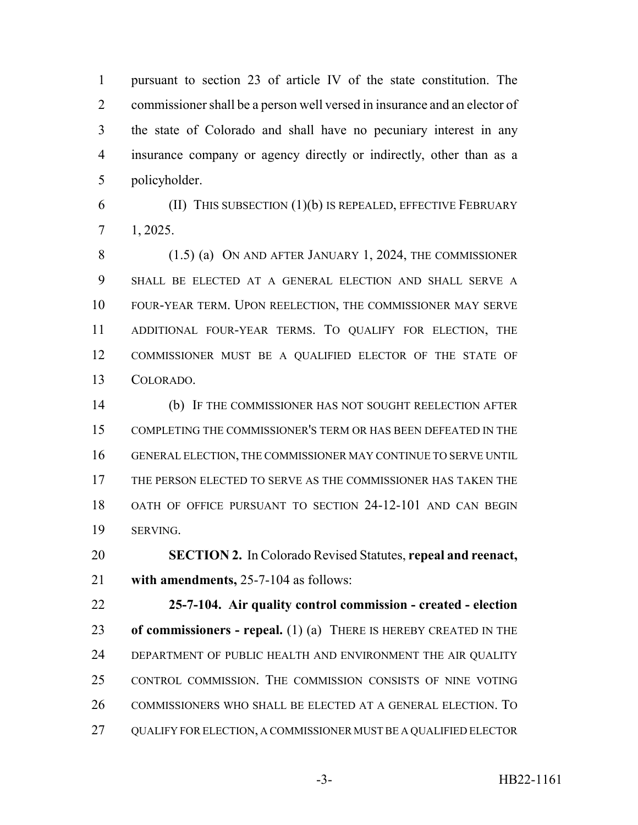pursuant to section 23 of article IV of the state constitution. The commissioner shall be a person well versed in insurance and an elector of the state of Colorado and shall have no pecuniary interest in any insurance company or agency directly or indirectly, other than as a policyholder.

 (II) THIS SUBSECTION  $(1)(b)$  IS REPEALED, EFFECTIVE FEBRUARY 1, 2025.

 (1.5) (a) ON AND AFTER JANUARY 1, 2024, THE COMMISSIONER SHALL BE ELECTED AT A GENERAL ELECTION AND SHALL SERVE A FOUR-YEAR TERM. UPON REELECTION, THE COMMISSIONER MAY SERVE ADDITIONAL FOUR-YEAR TERMS. TO QUALIFY FOR ELECTION, THE COMMISSIONER MUST BE A QUALIFIED ELECTOR OF THE STATE OF COLORADO.

 (b) IF THE COMMISSIONER HAS NOT SOUGHT REELECTION AFTER COMPLETING THE COMMISSIONER'S TERM OR HAS BEEN DEFEATED IN THE GENERAL ELECTION, THE COMMISSIONER MAY CONTINUE TO SERVE UNTIL THE PERSON ELECTED TO SERVE AS THE COMMISSIONER HAS TAKEN THE OATH OF OFFICE PURSUANT TO SECTION 24-12-101 AND CAN BEGIN SERVING.

 **SECTION 2.** In Colorado Revised Statutes, **repeal and reenact, with amendments,** 25-7-104 as follows:

 **25-7-104. Air quality control commission - created - election of commissioners - repeal.** (1) (a) THERE IS HEREBY CREATED IN THE DEPARTMENT OF PUBLIC HEALTH AND ENVIRONMENT THE AIR QUALITY CONTROL COMMISSION. THE COMMISSION CONSISTS OF NINE VOTING COMMISSIONERS WHO SHALL BE ELECTED AT A GENERAL ELECTION. TO QUALIFY FOR ELECTION, A COMMISSIONER MUST BE A QUALIFIED ELECTOR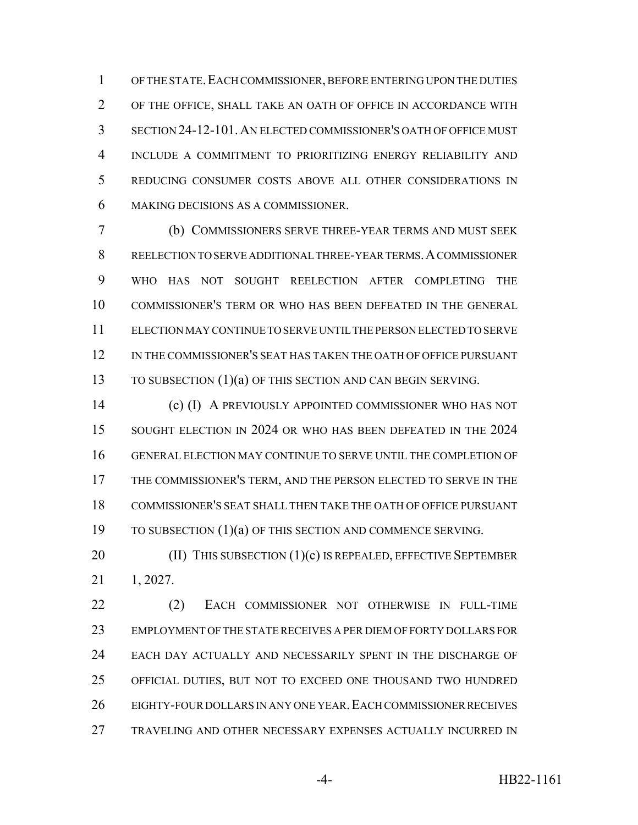OF THE STATE.EACH COMMISSIONER, BEFORE ENTERING UPON THE DUTIES OF THE OFFICE, SHALL TAKE AN OATH OF OFFICE IN ACCORDANCE WITH SECTION 24-12-101.AN ELECTED COMMISSIONER'S OATH OF OFFICE MUST INCLUDE A COMMITMENT TO PRIORITIZING ENERGY RELIABILITY AND REDUCING CONSUMER COSTS ABOVE ALL OTHER CONSIDERATIONS IN MAKING DECISIONS AS A COMMISSIONER.

 (b) COMMISSIONERS SERVE THREE-YEAR TERMS AND MUST SEEK REELECTION TO SERVE ADDITIONAL THREE-YEAR TERMS.A COMMISSIONER WHO HAS NOT SOUGHT REELECTION AFTER COMPLETING THE COMMISSIONER'S TERM OR WHO HAS BEEN DEFEATED IN THE GENERAL ELECTION MAY CONTINUE TO SERVE UNTIL THE PERSON ELECTED TO SERVE IN THE COMMISSIONER'S SEAT HAS TAKEN THE OATH OF OFFICE PURSUANT TO SUBSECTION (1)(a) OF THIS SECTION AND CAN BEGIN SERVING.

 (c) (I) A PREVIOUSLY APPOINTED COMMISSIONER WHO HAS NOT 15 SOUGHT ELECTION IN 2024 OR WHO HAS BEEN DEFEATED IN THE 2024 GENERAL ELECTION MAY CONTINUE TO SERVE UNTIL THE COMPLETION OF THE COMMISSIONER'S TERM, AND THE PERSON ELECTED TO SERVE IN THE COMMISSIONER'S SEAT SHALL THEN TAKE THE OATH OF OFFICE PURSUANT 19 TO SUBSECTION (1)(a) OF THIS SECTION AND COMMENCE SERVING.

**(II) THIS SUBSECTION (1)(c) IS REPEALED, EFFECTIVE SEPTEMBER** 1, 2027.

 (2) EACH COMMISSIONER NOT OTHERWISE IN FULL-TIME EMPLOYMENT OF THE STATE RECEIVES A PER DIEM OF FORTY DOLLARS FOR EACH DAY ACTUALLY AND NECESSARILY SPENT IN THE DISCHARGE OF OFFICIAL DUTIES, BUT NOT TO EXCEED ONE THOUSAND TWO HUNDRED EIGHTY-FOUR DOLLARS IN ANY ONE YEAR.EACH COMMISSIONER RECEIVES TRAVELING AND OTHER NECESSARY EXPENSES ACTUALLY INCURRED IN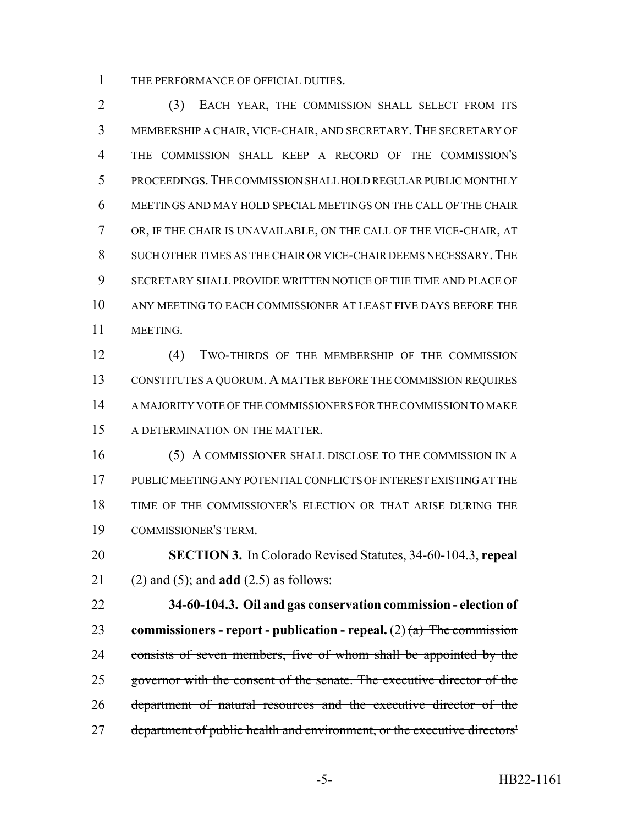THE PERFORMANCE OF OFFICIAL DUTIES.

 (3) EACH YEAR, THE COMMISSION SHALL SELECT FROM ITS MEMBERSHIP A CHAIR, VICE-CHAIR, AND SECRETARY. THE SECRETARY OF THE COMMISSION SHALL KEEP A RECORD OF THE COMMISSION'S PROCEEDINGS.THE COMMISSION SHALL HOLD REGULAR PUBLIC MONTHLY MEETINGS AND MAY HOLD SPECIAL MEETINGS ON THE CALL OF THE CHAIR OR, IF THE CHAIR IS UNAVAILABLE, ON THE CALL OF THE VICE-CHAIR, AT SUCH OTHER TIMES AS THE CHAIR OR VICE-CHAIR DEEMS NECESSARY.THE SECRETARY SHALL PROVIDE WRITTEN NOTICE OF THE TIME AND PLACE OF ANY MEETING TO EACH COMMISSIONER AT LEAST FIVE DAYS BEFORE THE MEETING.

 (4) TWO-THIRDS OF THE MEMBERSHIP OF THE COMMISSION CONSTITUTES A QUORUM. A MATTER BEFORE THE COMMISSION REQUIRES A MAJORITY VOTE OF THE COMMISSIONERS FOR THE COMMISSION TO MAKE A DETERMINATION ON THE MATTER.

 (5) A COMMISSIONER SHALL DISCLOSE TO THE COMMISSION IN A PUBLIC MEETING ANY POTENTIAL CONFLICTS OF INTEREST EXISTING AT THE TIME OF THE COMMISSIONER'S ELECTION OR THAT ARISE DURING THE COMMISSIONER'S TERM.

 **SECTION 3.** In Colorado Revised Statutes, 34-60-104.3, **repeal** (2) and (5); and **add** (2.5) as follows:

 **34-60-104.3. Oil and gas conservation commission - election of commissioners - report - publication - repeal.** (2) (a) The commission 24 consists of seven members, five of whom shall be appointed by the 25 governor with the consent of the senate. The executive director of the department of natural resources and the executive director of the 27 department of public health and environment, or the executive directors'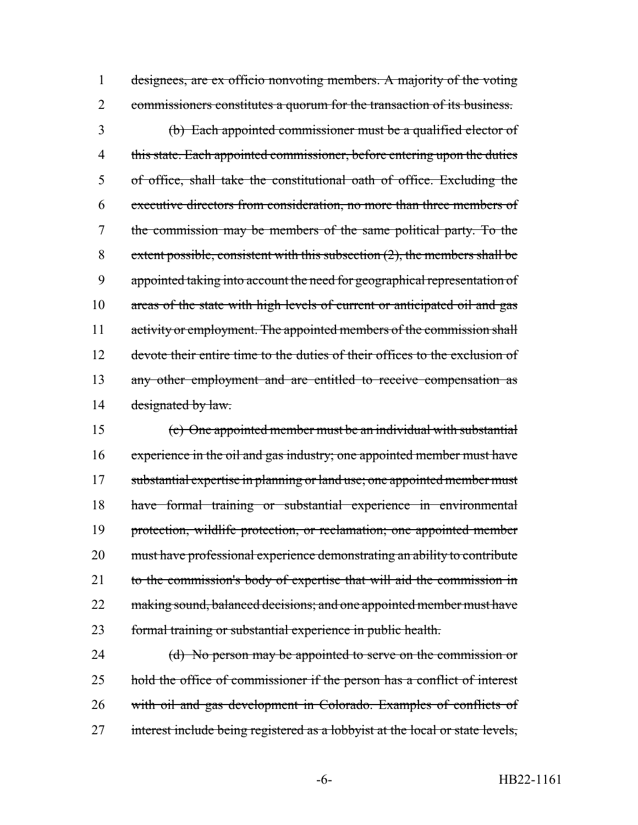1 designees, are ex officio nonvoting members. A majority of the voting 2 commissioners constitutes a quorum for the transaction of its business.

3 (b) Each appointed commissioner must be a qualified elector of 4 this state. Each appointed commissioner, before entering upon the duties 5 of office, shall take the constitutional oath of office. Excluding the 6 executive directors from consideration, no more than three members of 7 the commission may be members of the same political party. To the 8 extent possible, consistent with this subsection  $(2)$ , the members shall be 9 appointed taking into account the need for geographical representation of 10 areas of the state with high levels of current or anticipated oil and gas 11 activity or employment. The appointed members of the commission shall 12 devote their entire time to the duties of their offices to the exclusion of 13 any other employment and are entitled to receive compensation as 14 designated by law.

15 (c) One appointed member must be an individual with substantial 16 experience in the oil and gas industry; one appointed member must have 17 substantial expertise in planning or land use; one appointed member must 18 have formal training or substantial experience in environmental 19 protection, wildlife protection, or reclamation; one appointed member 20 must have professional experience demonstrating an ability to contribute 21 to the commission's body of expertise that will aid the commission in 22 making sound, balanced decisions; and one appointed member must have 23 formal training or substantial experience in public health.

24 (d) No person may be appointed to serve on the commission or 25 hold the office of commissioner if the person has a conflict of interest 26 with oil and gas development in Colorado. Examples of conflicts of 27 interest include being registered as a lobbyist at the local or state levels,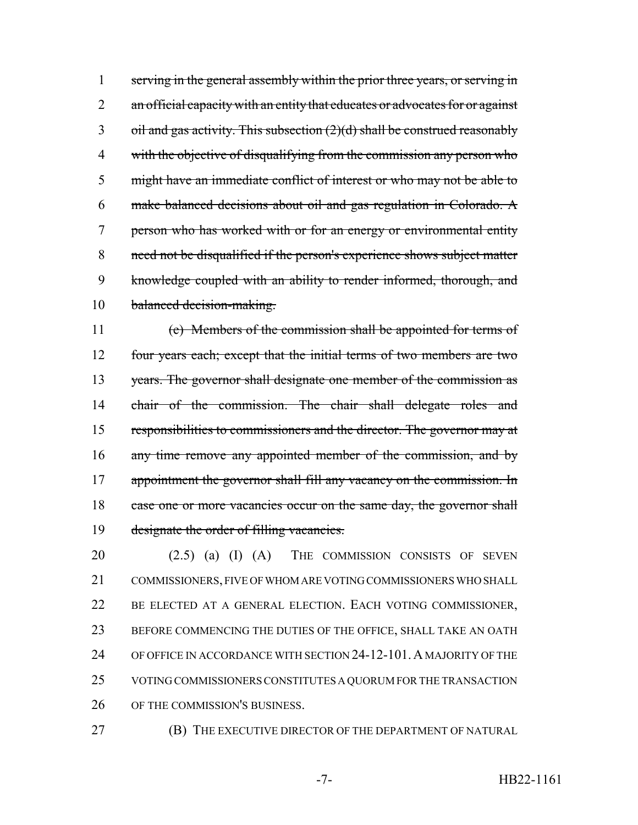serving in the general assembly within the prior three years, or serving in 2 an official capacity with an entity that educates or advocates for or against oil and gas activity. This subsection  $(2)(d)$  shall be construed reasonably 4 with the objective of disqualifying from the commission any person who 5 might have an immediate conflict of interest or who may not be able to make balanced decisions about oil and gas regulation in Colorado. A person who has worked with or for an energy or environmental entity need not be disqualified if the person's experience shows subject matter knowledge coupled with an ability to render informed, thorough, and balanced decision-making.

 (e) Members of the commission shall be appointed for terms of four years each; except that the initial terms of two members are two years. The governor shall designate one member of the commission as 14 chair of the commission. The chair shall delegate roles and 15 responsibilities to commissioners and the director. The governor may at 16 any time remove any appointed member of the commission, and by 17 appointment the governor shall fill any vacancy on the commission. In 18 case one or more vacancies occur on the same day, the governor shall 19 designate the order of filling vacancies.

20 (2.5) (a) (I) (A) THE COMMISSION CONSISTS OF SEVEN COMMISSIONERS, FIVE OF WHOM ARE VOTING COMMISSIONERS WHO SHALL BE ELECTED AT A GENERAL ELECTION. EACH VOTING COMMISSIONER, BEFORE COMMENCING THE DUTIES OF THE OFFICE, SHALL TAKE AN OATH OF OFFICE IN ACCORDANCE WITH SECTION 24-12-101.A MAJORITY OF THE VOTING COMMISSIONERS CONSTITUTES A QUORUM FOR THE TRANSACTION OF THE COMMISSION'S BUSINESS.

**(B)** THE EXECUTIVE DIRECTOR OF THE DEPARTMENT OF NATURAL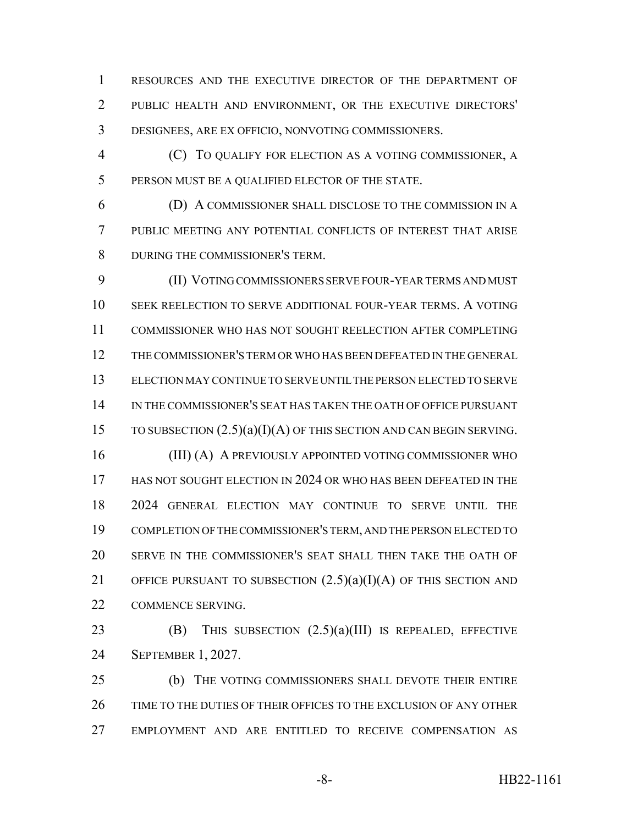RESOURCES AND THE EXECUTIVE DIRECTOR OF THE DEPARTMENT OF PUBLIC HEALTH AND ENVIRONMENT, OR THE EXECUTIVE DIRECTORS' DESIGNEES, ARE EX OFFICIO, NONVOTING COMMISSIONERS.

 (C) TO QUALIFY FOR ELECTION AS A VOTING COMMISSIONER, A PERSON MUST BE A QUALIFIED ELECTOR OF THE STATE.

 (D) A COMMISSIONER SHALL DISCLOSE TO THE COMMISSION IN A PUBLIC MEETING ANY POTENTIAL CONFLICTS OF INTEREST THAT ARISE DURING THE COMMISSIONER'S TERM.

 (II) VOTING COMMISSIONERS SERVE FOUR-YEAR TERMS AND MUST SEEK REELECTION TO SERVE ADDITIONAL FOUR-YEAR TERMS. A VOTING COMMISSIONER WHO HAS NOT SOUGHT REELECTION AFTER COMPLETING THE COMMISSIONER'S TERM OR WHO HAS BEEN DEFEATED IN THE GENERAL ELECTION MAY CONTINUE TO SERVE UNTIL THE PERSON ELECTED TO SERVE IN THE COMMISSIONER'S SEAT HAS TAKEN THE OATH OF OFFICE PURSUANT 15 TO SUBSECTION  $(2.5)(a)(I)(A)$  OF THIS SECTION AND CAN BEGIN SERVING. 16 (III) (A) A PREVIOUSLY APPOINTED VOTING COMMISSIONER WHO HAS NOT SOUGHT ELECTION IN 2024 OR WHO HAS BEEN DEFEATED IN THE 2024 GENERAL ELECTION MAY CONTINUE TO SERVE UNTIL THE COMPLETION OF THE COMMISSIONER'S TERM, AND THE PERSON ELECTED TO SERVE IN THE COMMISSIONER'S SEAT SHALL THEN TAKE THE OATH OF 21 OFFICE PURSUANT TO SUBSECTION  $(2.5)(a)(I)(A)$  OF THIS SECTION AND COMMENCE SERVING.

23 **(B)** THIS SUBSECTION  $(2.5)(a)(III)$  IS REPEALED, EFFECTIVE SEPTEMBER 1, 2027.

 (b) THE VOTING COMMISSIONERS SHALL DEVOTE THEIR ENTIRE TIME TO THE DUTIES OF THEIR OFFICES TO THE EXCLUSION OF ANY OTHER EMPLOYMENT AND ARE ENTITLED TO RECEIVE COMPENSATION AS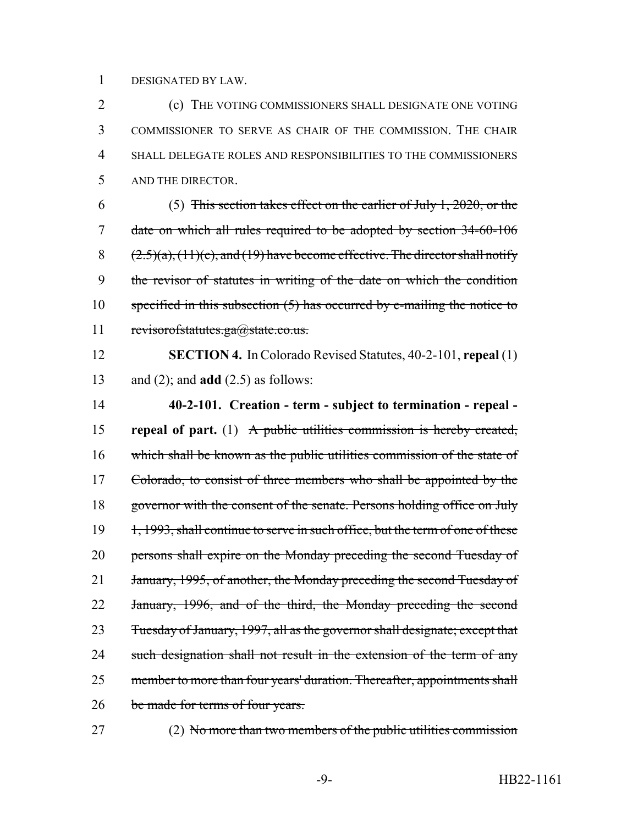#### 1 DESIGNATED BY LAW.

 (c) THE VOTING COMMISSIONERS SHALL DESIGNATE ONE VOTING COMMISSIONER TO SERVE AS CHAIR OF THE COMMISSION. THE CHAIR SHALL DELEGATE ROLES AND RESPONSIBILITIES TO THE COMMISSIONERS AND THE DIRECTOR.

6 (5) This section takes effect on the earlier of July 1, 2020, or the 7 date on which all rules required to be adopted by section 34-60-106 8  $(2.5)(a)$ ,  $(11)(c)$ , and  $(19)$  have become effective. The director shall notify 9 the revisor of statutes in writing of the date on which the condition 10 specified in this subsection  $(5)$  has occurred by e-mailing the notice to 11 revisorofstatutes.ga@state.co.us.

12 **SECTION 4.** In Colorado Revised Statutes, 40-2-101, **repeal** (1) 13 and (2); and **add** (2.5) as follows:

14 **40-2-101. Creation - term - subject to termination - repeal -** 15 **repeal of part.** (1) A public utilities commission is hereby created, 16 which shall be known as the public utilities commission of the state of 17 Colorado, to consist of three members who shall be appointed by the 18 governor with the consent of the senate. Persons holding office on July 19 1, 1993, shall continue to serve in such office, but the term of one of these 20 persons shall expire on the Monday preceding the second Tuesday of 21 January, 1995, of another, the Monday preceding the second Tuesday of 22 January, 1996, and of the third, the Monday preceding the second 23 Tuesday of January, 1997, all as the governor shall designate; except that 24 such designation shall not result in the extension of the term of any 25 member to more than four years' duration. Thereafter, appointments shall 26 be made for terms of four years.

27 (2) No more than two members of the public utilities commission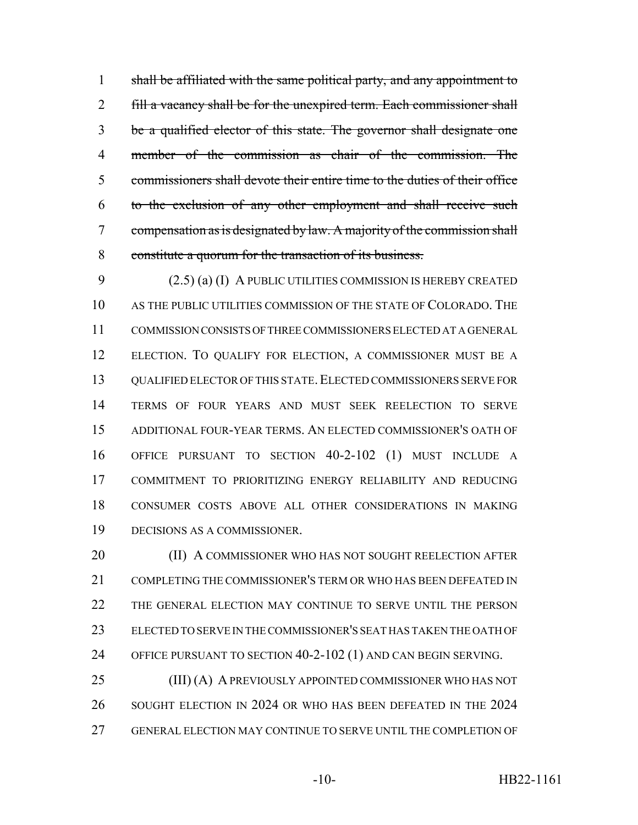1 shall be affiliated with the same political party, and any appointment to 2 fill a vacancy shall be for the unexpired term. Each commissioner shall be a qualified elector of this state. The governor shall designate one member of the commission as chair of the commission. The commissioners shall devote their entire time to the duties of their office to the exclusion of any other employment and shall receive such compensation as is designated by law. A majority of the commission shall constitute a quorum for the transaction of its business.

 (2.5) (a) (I) A PUBLIC UTILITIES COMMISSION IS HEREBY CREATED AS THE PUBLIC UTILITIES COMMISSION OF THE STATE OF COLORADO. THE COMMISSION CONSISTS OF THREE COMMISSIONERS ELECTED AT A GENERAL ELECTION. TO QUALIFY FOR ELECTION, A COMMISSIONER MUST BE A 13 QUALIFIED ELECTOR OF THIS STATE. ELECTED COMMISSIONERS SERVE FOR TERMS OF FOUR YEARS AND MUST SEEK REELECTION TO SERVE ADDITIONAL FOUR-YEAR TERMS. AN ELECTED COMMISSIONER'S OATH OF OFFICE PURSUANT TO SECTION 40-2-102 (1) MUST INCLUDE A COMMITMENT TO PRIORITIZING ENERGY RELIABILITY AND REDUCING CONSUMER COSTS ABOVE ALL OTHER CONSIDERATIONS IN MAKING DECISIONS AS A COMMISSIONER.

**(II) A COMMISSIONER WHO HAS NOT SOUGHT REELECTION AFTER**  COMPLETING THE COMMISSIONER'S TERM OR WHO HAS BEEN DEFEATED IN THE GENERAL ELECTION MAY CONTINUE TO SERVE UNTIL THE PERSON ELECTED TO SERVE IN THE COMMISSIONER'S SEAT HAS TAKEN THE OATH OF OFFICE PURSUANT TO SECTION 40-2-102 (1) AND CAN BEGIN SERVING.

25 (III) (A) A PREVIOUSLY APPOINTED COMMISSIONER WHO HAS NOT 26 SOUGHT ELECTION IN 2024 OR WHO HAS BEEN DEFEATED IN THE 2024 GENERAL ELECTION MAY CONTINUE TO SERVE UNTIL THE COMPLETION OF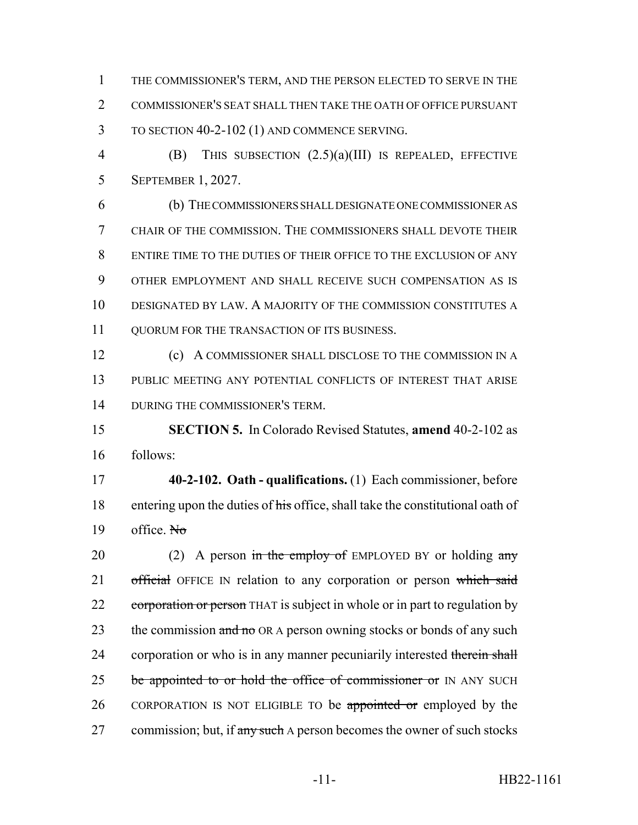THE COMMISSIONER'S TERM, AND THE PERSON ELECTED TO SERVE IN THE COMMISSIONER'S SEAT SHALL THEN TAKE THE OATH OF OFFICE PURSUANT TO SECTION 40-2-102 (1) AND COMMENCE SERVING.

 (B) THIS SUBSECTION (2.5)(a)(III) IS REPEALED, EFFECTIVE SEPTEMBER 1, 2027.

 (b) THE COMMISSIONERS SHALL DESIGNATE ONE COMMISSIONER AS CHAIR OF THE COMMISSION. THE COMMISSIONERS SHALL DEVOTE THEIR ENTIRE TIME TO THE DUTIES OF THEIR OFFICE TO THE EXCLUSION OF ANY OTHER EMPLOYMENT AND SHALL RECEIVE SUCH COMPENSATION AS IS DESIGNATED BY LAW. A MAJORITY OF THE COMMISSION CONSTITUTES A QUORUM FOR THE TRANSACTION OF ITS BUSINESS.

 (c) A COMMISSIONER SHALL DISCLOSE TO THE COMMISSION IN A PUBLIC MEETING ANY POTENTIAL CONFLICTS OF INTEREST THAT ARISE DURING THE COMMISSIONER'S TERM.

 **SECTION 5.** In Colorado Revised Statutes, **amend** 40-2-102 as follows:

 **40-2-102. Oath - qualifications.** (1) Each commissioner, before 18 entering upon the duties of his office, shall take the constitutional oath of 19 office.  $N_{\sigma}$ 

20 (2) A person in the employ of EMPLOYED BY or holding  $\frac{\text{any}}{\text{any}}$ 21 official OFFICE IN relation to any corporation or person which said 22 corporation or person THAT is subject in whole or in part to regulation by 23 the commission and no OR A person owning stocks or bonds of any such 24 corporation or who is in any manner pecuniarily interested therein shall 25 be appointed to or hold the office of commissioner or IN ANY SUCH 26 CORPORATION IS NOT ELIGIBLE TO be appointed or employed by the 27 commission; but, if any such A person becomes the owner of such stocks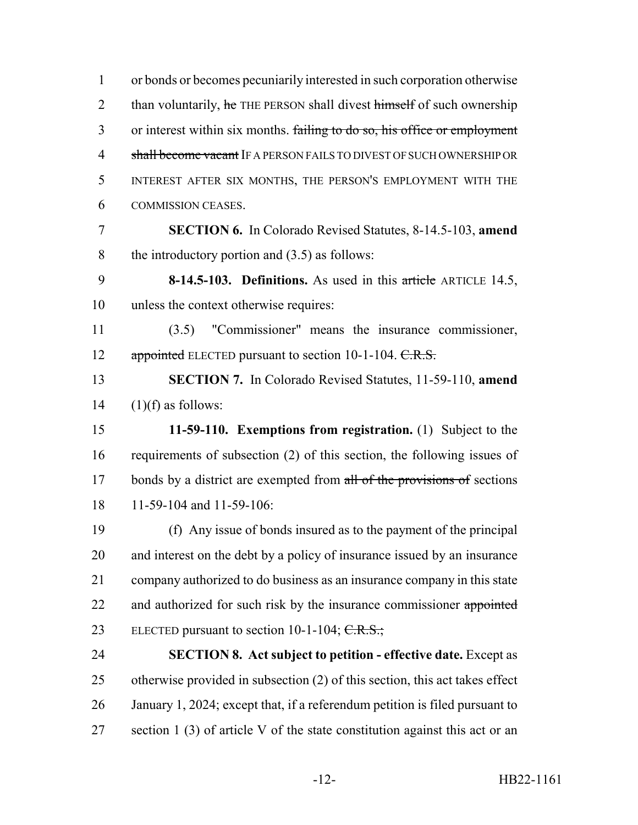or bonds or becomes pecuniarily interested in such corporation otherwise 2 than voluntarily, he THE PERSON shall divest himself of such ownership 3 or interest within six months. failing to do so, his office or employment 4 shall become vacant IF A PERSON FAILS TO DIVEST OF SUCH OWNERSHIP OR INTEREST AFTER SIX MONTHS, THE PERSON'S EMPLOYMENT WITH THE COMMISSION CEASES. **SECTION 6.** In Colorado Revised Statutes, 8-14.5-103, **amend** the introductory portion and (3.5) as follows: **8-14.5-103. Definitions.** As used in this article ARTICLE 14.5, unless the context otherwise requires: (3.5) "Commissioner" means the insurance commissioner, 12 appointed ELECTED pursuant to section 10-1-104. C.R.S. **SECTION 7.** In Colorado Revised Statutes, 11-59-110, **amend**  $(1)(f)$  as follows: **11-59-110. Exemptions from registration.** (1) Subject to the requirements of subsection (2) of this section, the following issues of 17 bonds by a district are exempted from all of the provisions of sections 11-59-104 and 11-59-106: (f) Any issue of bonds insured as to the payment of the principal and interest on the debt by a policy of insurance issued by an insurance company authorized to do business as an insurance company in this state 22 and authorized for such risk by the insurance commissioner appointed 23 ELECTED pursuant to section 10-1-104;  $C.R.S.$ ; **SECTION 8. Act subject to petition - effective date.** Except as otherwise provided in subsection (2) of this section, this act takes effect January 1, 2024; except that, if a referendum petition is filed pursuant to section 1 (3) of article V of the state constitution against this act or an